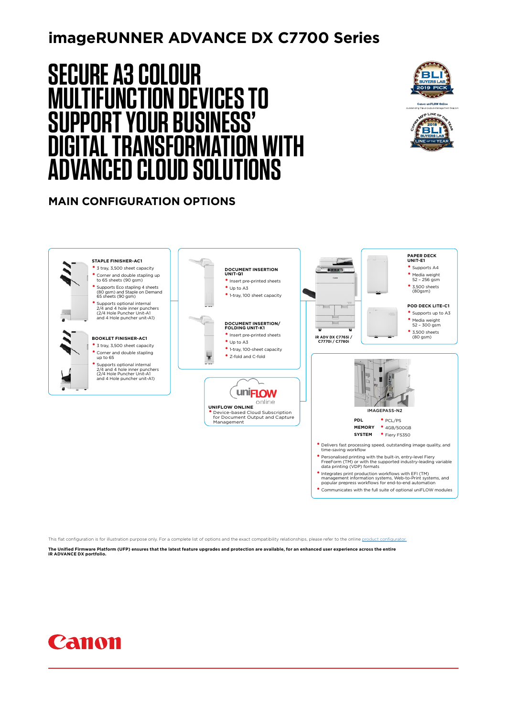## **imageRUNNER ADVANCE DX C7700 Series**

# **SECURE A3 COLOUR MULTIFUNCTION DEVICES TO SUPPORT YOUR BUSINESS' DIGITAL TRANSFORMATION WITH ADVANCED CLOUD SOLUTIONS**



#### **MAIN CONFIGURATION OPTIONS**



This flat configuration is for illustration purpose only. For a complete list of options and the exact compatibility relationships, please refer to the online product

**The Unified Firmware Platform (UFP) ensures that the latest feature upgrades and protection are available, for an enhanced user experience across the entire iR ADVANCE DX portfolio.**

## Canon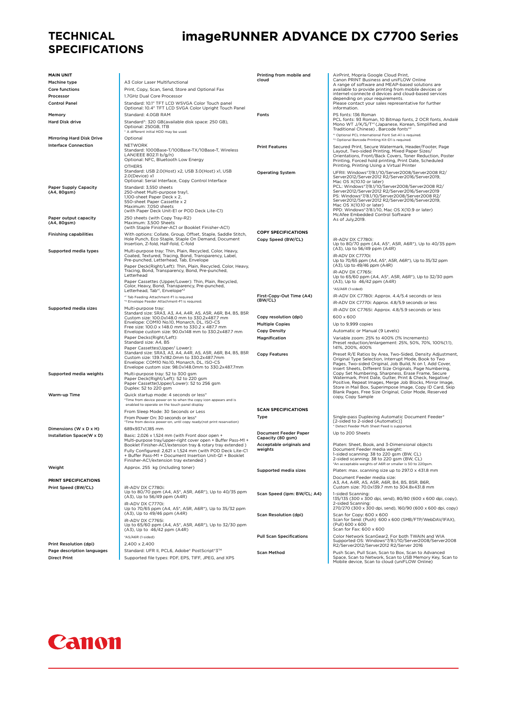#### **TECHNICAL SPECIFICATIONS**

## **imageRUNNER ADVANCE DX C7700 Series**

|                                                   |                                                                                                                                                                                                                                                                                               | Printing from mobile and                          |                                                                                                                                                                                                                                                                                      |
|---------------------------------------------------|-----------------------------------------------------------------------------------------------------------------------------------------------------------------------------------------------------------------------------------------------------------------------------------------------|---------------------------------------------------|--------------------------------------------------------------------------------------------------------------------------------------------------------------------------------------------------------------------------------------------------------------------------------------|
| <b>MAIN UNIT</b>                                  |                                                                                                                                                                                                                                                                                               | cloud                                             | AirPrint, Mopria Google Cloud Print,<br>Canon PRINT Business and uniFLOW Online                                                                                                                                                                                                      |
| Machine type<br>Core functions                    | A3 Color Laser Multifunctional<br>Print, Copy, Scan, Send, Store and Optional Fax                                                                                                                                                                                                             |                                                   | A range of software and MEAP-based solutions are<br>available to provide printing from mobile devices or                                                                                                                                                                             |
| Processor                                         | 1.7GHz Dual Core Processor                                                                                                                                                                                                                                                                    |                                                   | internet-connecte d devices and cloud-based services                                                                                                                                                                                                                                 |
| <b>Control Panel</b>                              | Standard: 10.1" TFT LCD WSVGA Color Touch panel                                                                                                                                                                                                                                               |                                                   | depending on your requirements.<br>Please contact your sales representative for further                                                                                                                                                                                              |
|                                                   | Optional: 10.4" TFT LCD SVGA Color Upright Touch Panel                                                                                                                                                                                                                                        |                                                   | information.                                                                                                                                                                                                                                                                         |
| Memory                                            | Standard: 4.0GB RAM                                                                                                                                                                                                                                                                           | Fonts                                             | PS fonts: 136 Roman<br>PCL fonts: 93 Roman, 10 Bitmap fonts, 2 OCR fonts, Andalé                                                                                                                                                                                                     |
| <b>Hard Disk drive</b>                            | Standard*: 320 GB(available disk space: 250 GB),<br>Optional: 250GB, 1TB<br>* A different initial HDD may be used.                                                                                                                                                                            |                                                   | Mono WT J/K/S/T*1 (Japanese, Korean, Simplified and<br>Traditional Chinese), Barcode fonts*2                                                                                                                                                                                         |
| <b>Mirroring Hard Disk Drive</b>                  | Optional                                                                                                                                                                                                                                                                                      |                                                   | *1 Optional PCL International Font Set-A1 is required.<br>*2 Optional Barcode Printing Kit-D1 is required.                                                                                                                                                                           |
| <b>Interface Connection</b>                       | <b>NETWORK</b>                                                                                                                                                                                                                                                                                | <b>Print Features</b>                             | Secured Print, Secure Watermark, Header/Footer, Page                                                                                                                                                                                                                                 |
|                                                   | Standard: 1000Base-T/100Base-TX/10Base-T, Wireless<br>LAN(IEEE 802.11 b/g/n)<br>Optional: NFC, Bluetooth Low Energy<br><b>OTHERS</b>                                                                                                                                                          |                                                   | Layout, Two-sided Printing, Mixed Paper Sizes/<br>Orientations, Front/Back Covers, Toner Reduction, Poster<br>Printing, Forced hold printing, Print Date, Scheduled<br>Printing, Printing Using a Virtual Printer                                                                    |
|                                                   | Standard: USB 2.0(Host) x2, USB 3.0(Host) x1, USB<br>2.0(Device) x1<br>Optional: Serial Interface, Copy Control Interface                                                                                                                                                                     | <b>Operating System</b>                           | UFRII: Windows*7/8.1/10/Server2008/Server2008 R2/<br>Server2012/Server2012 R2/Server2016/Server2019,<br>Mac OS X(10.10 or later)                                                                                                                                                     |
| <b>Paper Supply Capacity</b><br>(A4, 80gsm)       | Standard: 3,550 sheets<br>250-sheet Multi-purpose tray1,<br>1,100-sheet Paper Deck x 2,<br>550-sheet Paper Cassette x 2<br>Maximum: 7,050 sheets<br>(with Paper Deck Unit-E1 or POD Deck Lite-C1)                                                                                             |                                                   | PCL: Windows*7/8.1/10/Server2008/Server2008 R2/<br>Server2012/Server2012 R2/Server2016/Server2019<br>PS: Windows*7/8.1/10/Server2008/Server2008 R2/<br>Server2012/Server2012 R2/Server2016/Server2019,<br>Mac OS X(10.10 or later)<br>PPD: Windows*7/8.1/10, Mac OS X(10.9 or later) |
| Paper output capacity<br>(A4, 80gsm)              | 250 sheets (with Copy Tray-R2)<br>Maximum: 3,500 Sheets<br>(with Staple Finisher-AC1 or Booklet Finisher-AC1)                                                                                                                                                                                 |                                                   | McAfee Embedded Control Software<br>As of July, 2019.                                                                                                                                                                                                                                |
| <b>Finishing capabilities</b>                     | With options: Collate, Group, Offset, Staple, Saddle Stitch,<br>Hole Punch, Eco Staple, Staple On Demand, Document<br>Insertion, Z-fold, Half-fold, C-fold                                                                                                                                    | <b>COPY SPECIFICATIONS</b><br>Copy Speed (BW/CL)  | iR-ADV DX C7780i:<br>Up to 80/70 ppm (A4, A5*, A5R, A6R*), Up to 40/35 ppm                                                                                                                                                                                                           |
| Supported media types                             | Multi-purpose tray: Thin, Plain, Recycled, Color, Heavy,<br>Coated, Textured, Tracing, Bond, Transparency, Label,<br>Pre-punched, Letterhead, Tab, Envelope                                                                                                                                   |                                                   | (A3), Up to 56/49 ppm (A4R)<br>iR-ADV DX C7770i:<br>Up to 70/65 ppm (A4, A5*, A5R, A6R*), Up to 35/32 ppm                                                                                                                                                                            |
|                                                   | Paper Deck(Right/Left): Thin, Plain, Recycled, Color, Heavy,<br>Tracing, Bond, Transparency, Bond, Pre-punched,<br>Letterhead                                                                                                                                                                 |                                                   | (A3), Up to 49/46 ppm (A4R)<br>iR-ADV DX C7765i:<br>Up to 65/60 ppm (A4, A5*, A5R, A6R*), Up to 32/30 ppm                                                                                                                                                                            |
|                                                   | Paper Cassettes (Upper/Lower): Thin, Plain, Recycled,<br>Color, Heavy, Bond, Transparency, Pre-punched,<br>Letterhead, Tab*1, Envelope*2                                                                                                                                                      |                                                   | (A3), Up to 46/42 ppm (A4R)<br>*A5/A6R (1-sided)                                                                                                                                                                                                                                     |
|                                                   | *1 Tab Feeding Attachment-F1 is required<br>*2 Envelope Feeder Attachment-F1 is required.                                                                                                                                                                                                     | First-Copy-Out Time (A4)<br>(BW/CL)               | iR-ADV DX C7780i: Approx. 4.4/5.4 seconds or less<br>iR-ADV DX C7770i: Approx. 4.8/5.9 seconds or less                                                                                                                                                                               |
| Supported media sizes                             | Multi-purpose tray:<br>Standard size: SRA3, A3, A4, A4R, A5, A5R, A6R, B4, B5, B5R                                                                                                                                                                                                            |                                                   | iR-ADV DX C7765i: Approx. 4.8/5.9 seconds or less                                                                                                                                                                                                                                    |
|                                                   | Custom size: 100.0x148.0 mm to 330.2x487.7 mm<br>Envelope: COM10 No.10, Monarch, DL, ISO-C5                                                                                                                                                                                                   | Copy resolution (dpi)                             | 600 x 600                                                                                                                                                                                                                                                                            |
|                                                   | Free size: 100.0 x 148.0 mm to 330.2 x 487.7 mm                                                                                                                                                                                                                                               | <b>Multiple Copies</b>                            | Up to 9,999 copies                                                                                                                                                                                                                                                                   |
|                                                   | Envelope custom size: 90.0x148 mm to 330.2x487.7 mm<br>Paper Decks(Right/Left):<br>Standard size: A4, B5                                                                                                                                                                                      | <b>Copy Density</b><br>Magnification              | Automatic or Manual (9 Levels)<br>Variable zoom: 25% to 400% (1% Increments)                                                                                                                                                                                                         |
|                                                   | Paper Cassettes(Upper/ Lower):                                                                                                                                                                                                                                                                |                                                   | Preset reduction/enlargement: 25%, 50%, 70%, 100%(1:1),<br>141%, 200%, 400%                                                                                                                                                                                                          |
|                                                   | Standard size: SRA3, A3, A4, A4R, A5, A5R, A6R, B4, B5, B5R<br>Custom size: 139.7x182.0mm to 330.2x487.7mm<br>Envelope: COM10 No.10, Monarch, DL, ISO-C5<br>Envelope custom size: 98.0x148.0mm to 330.2x487.7mm                                                                               | <b>Copy Features</b>                              | Preset R/E Ratios by Area, Two-Sided, Density Adjustment,<br>Original Type Selection, Interrupt Mode, Book to Two<br>Pages, Two-sided Original, Job Build, N on 1, Add Cover,<br>Insert Sheets, Different Size Originals, Page Numbering,                                            |
| Supported media weights                           | Multi-purpose tray: 52 to 300 gsm<br>Paper Deck(Right/Left): 52 to 220 gsm<br>Paper Cassette(Upper/Lower): 52 to 256 gsm<br>Duplex: 52 to 220 gsm                                                                                                                                             |                                                   | Copy Set Numbering, Sharpness, Erase Frame, Secure<br>Watermark, Print Date, Gutter, Print & Check, Negative/<br>Positive, Repeat Images, Merge Job Blocks, Mirror Image,<br>Store in Mail Box, Superimpose Image, Copy ID Card, Skip                                                |
| Warm-up Time                                      | Quick startup mode: 4 seconds or less*<br>*Time from device power on to when the copy icon appears and is<br>enabled to operate on the touch panel display                                                                                                                                    |                                                   | Blank Pages, Free Size Original, Color Mode, Reserved<br>copy, Copy Sample                                                                                                                                                                                                           |
|                                                   | From Sleep Mode: 30 Seconds or Less                                                                                                                                                                                                                                                           | <b>SCAN SPECIFICATIONS</b>                        |                                                                                                                                                                                                                                                                                      |
|                                                   | From Power On: 30 seconds or less*<br>*Time from device power-on, until copy ready(not print reservation)                                                                                                                                                                                     | Type                                              | Single-pass Duplexing Automatic Document Feeder*<br>[2-sided to 2-sided (Automatic)]                                                                                                                                                                                                 |
| Dimensions (W x D x H)                            | 689x937x1.185 mm                                                                                                                                                                                                                                                                              |                                                   | * Detect Feeder Multi Sheet Feed is supported.                                                                                                                                                                                                                                       |
| Installation Space(W x D)                         | Basic: 2,026 x 1,524 mm (with Front door open +                                                                                                                                                                                                                                               | <b>Document Feeder Paper</b><br>Capacity (80 gsm) | Up to 200 Sheets                                                                                                                                                                                                                                                                     |
|                                                   | Multi-purpose tray/upper-right cover open + Buffer Pass-M1 +<br>Booklet Finisher-AC1/extension tray & rotary tray extended )<br>Fully Configured: 2,621 x 1,524 mm (with POD Deck Lite-C1<br>+ Buffer Pass-M1 + Document Insertion Unit-Q1 + Booklet<br>Finisher-AC1/extension tray extended) | Acceptable originals and<br>weights               | Platen: Sheet, Book, and 3-Dimensional objects<br>Document Feeder media weight:<br>1-sided scanning: 38 to 220 gsm (BW, CL)<br>2-sided scanning: 38 to 220 gsm (BW, CL)                                                                                                              |
| Weight                                            | Approx. 255 kg (including toner)                                                                                                                                                                                                                                                              | Supported media sizes                             | *An acceptable weights of A6R or smaller is 50 to 220gsm.<br>Platen: max. scanning size up to 297.0 x 431.8 mm                                                                                                                                                                       |
| PRINT SPECIFICATIONS<br>Print Speed (BW/CL)       | iR-ADV DX C7780i:                                                                                                                                                                                                                                                                             |                                                   | Document Feeder media size:<br>A3, A4, A4R, A5, A5R, A6R, B4, B5, B5R, B6R,<br>Custom size: 70.0x139.7 mm to 304.8x431.8 mm                                                                                                                                                          |
|                                                   | Up to 80/70 ppm (A4, A5*, A5R, A6R*), Up to 40/35 ppm<br>(A3), Up to 56/49 ppm (A4R)                                                                                                                                                                                                          | Scan Speed (ipm: BW/CL; A4)                       | 1-sided Scanning:<br>135/135 (300 x 300 dpi, send), 80/80 (600 x 600 dpi, copy),<br>2-sided Scanning:                                                                                                                                                                                |
|                                                   | iR-ADV DX C7770i:<br>Up to 70/65 ppm (A4, A5*, A5R, A6R*), Up to 35/32 ppm<br>(A3), Up to 49/46 ppm (A4R)                                                                                                                                                                                     | Scan Resolution (dpi)                             | 270/270 (300 x 300 dpi, send), 160/90 (600 x 600 dpi, copy)<br>Scan for Copy: 600 x 600                                                                                                                                                                                              |
|                                                   | iR-ADV DX C7765i:<br>Up to 65/60 ppm (A4, A5*, A5R, A6R*), Up to 32/30 ppm<br>(A3), Up to 46/42 ppm (A4R)                                                                                                                                                                                     |                                                   | Scan for Send: (Push) 600 x 600 (SMB/FTP/WebDAV/IFAX),<br>(Pull) 600 x 600<br>Scan for Fax: 600 x 600                                                                                                                                                                                |
| Print Resolution (dpi)                            | *A5/A6R (1-sided)<br>2,400 x 2,400                                                                                                                                                                                                                                                            | <b>Pull Scan Specifications</b>                   | Color Network ScanGear2. For both TWAIN and WIA<br>Supported OS: Windows®7/8.1/10/Server2008/Server2008<br>R2/Server2012/Server2012 R2/Server 2016                                                                                                                                   |
| Page description languages<br><b>Direct Print</b> | Standard: UFR II, PCL6, Adobe® PostScript®3™<br>Supported file types: PDF, EPS, TIFF, JPEG, and XPS                                                                                                                                                                                           | <b>Scan Method</b>                                | Push Scan, Pull Scan, Scan to Box, Scan to Advanced<br>Space, Scan to Network, Scan to USB Memory Key, Scan to<br>Mobile device, Scan to cloud (uniFLOW Online)                                                                                                                      |

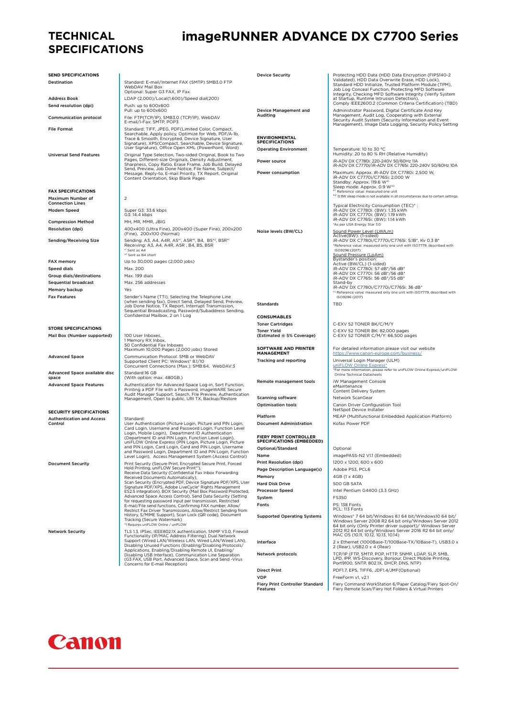#### **TECHNICAL SPECIFICATIONS**

### **imageRUNNER ADVANCE DX C7700 Series**

| <b>SEND SPECIFICATIONS</b><br>Destination    | Standard: E-mail/Internet FAX (SMTP) SMB3.0 FTP                                                                                                                                                                           | <b>Device Security</b>                        | Protecting HDD Data (HDD Data Encryption (FIPS140-2<br>Validated), HDD Data Overwrite Erase, HDD Lock),                                                               |
|----------------------------------------------|---------------------------------------------------------------------------------------------------------------------------------------------------------------------------------------------------------------------------|-----------------------------------------------|-----------------------------------------------------------------------------------------------------------------------------------------------------------------------|
|                                              | WebDAV Mail Box                                                                                                                                                                                                           |                                               | Standard HDD Initialize, Trusted Platform Module (TPM),<br>Job Log Conceal Function, Protecting MFD Software                                                          |
|                                              | Optional: Super G3 FAX, IP Fax                                                                                                                                                                                            |                                               | Integrity, Checking MFD Software Integrity (Verify System                                                                                                             |
| <b>Address Book</b><br>Send resolution (dpi) | LDAP (2,000)/Local(1,600)/Speed dial(200)<br>Push: up to 600x600                                                                                                                                                          |                                               | at Startup, Runtime Intrusion Detection),<br>Comply IEEE2600.2 (Common Criteria Certification) (TBD)                                                                  |
|                                              | Pull: up to 600x600                                                                                                                                                                                                       | Device Management and                         | Administrator Password, Digital Certificate And Key                                                                                                                   |
| <b>Communication protocol</b>                | File: FTP(TCP/IP), SMB3.0 (TCP/IP), WebDAV<br>E-mail/I-Fax: SMTP, POP3                                                                                                                                                    | Auditing                                      | Management, Audit Log, Cooperating with External<br>Security Audit System (Security Information and Event<br>Management), Image Data Logging, Security Policy Setting |
| <b>File Format</b>                           | Standard: TIFF, JPEG, PDF(Limited Color, Compact,<br>Searchable, Apply policy, Optimize for Web, PDF/A-1b,<br>Trace & Smooth, Encrypted, Device Signature, User<br>Signature), XPS(Compact, Searchable, Device Signature, | <b>ENVIRONMENTAL</b><br><b>SPECIFICATIONS</b> |                                                                                                                                                                       |
| <b>Universal Send Features</b>               | User Signature), Office Open XML (PowerPoint, Word)<br>Original Type Selection, Two-sided Original, Book to Two                                                                                                           | <b>Operating Environment</b>                  | Temperature: 10 to 30 °C<br>Humidity: 20 to 80 % RH (Relative Humidity)                                                                                               |
|                                              | Pages, Different-size Originals, Density Adjustment,                                                                                                                                                                      | Power source                                  | iR-ADV DX C7780i: 220-240V 50/60Hz 11A                                                                                                                                |
|                                              | Sharpness, Copy Ratio, Erase Frame, Job Build, Delayed<br>Send, Preview, Job Done Notice, File Name, Subject/                                                                                                             |                                               | iR-ADV DX C7770i/iR-ADV DX C7765i: 220-240V 50/60Hz 10A                                                                                                               |
|                                              | Message, Reply-to, E-mail Priority, TX Report, Original<br>Content Orientation, Skip Blank Pages                                                                                                                          | Power consumption                             | Maximum: Approx. iR-ADV DX C7780i: 2,500 W,<br>iR-ADV DX C7770i/C7765i: 2,000 W<br>Standby: Approx. 119.6 W*1<br>Sleep mode: Approx. 0.9 W*2                          |
| <b>FAX SPECIFICATIONS</b>                    |                                                                                                                                                                                                                           |                                               | *1 Reference value: measured one unit                                                                                                                                 |
| Maximum Number of                            | $\overline{c}$                                                                                                                                                                                                            |                                               | $*2$ 0.9W sleep mode is not available in all circumstances due to certain settings.                                                                                   |
| <b>Connection Lines</b>                      | Super G3: 33.6 kbps                                                                                                                                                                                                       |                                               | Typical Electricity Consumption (TEC)*:                                                                                                                               |
| Modem Speed                                  | G3: 14.4 kbps                                                                                                                                                                                                             |                                               | iR-ADV DX C7780i: (BW): 1.35 kWh<br>iR-ADV DX C7770i: (BW): 1.19 kWh                                                                                                  |
| <b>Compression Method</b>                    | MH, MR, MMR, JBIG                                                                                                                                                                                                         |                                               | iR-ADV DX C7765i: (BW): 1.14 kWh<br>*As per USA Energy Star 3.0                                                                                                       |
| <b>Resolution (dpi)</b>                      | 400x400 (Ultra Fine), 200x400 (Super Fine), 200x200                                                                                                                                                                       | Noise levels (BW/CL)                          | Sound Power Level (LWA,m)                                                                                                                                             |
|                                              | (Fine), 200x100 (Normal)                                                                                                                                                                                                  |                                               | Active(BW): (1-sided)<br>iR-ADV DX C7780i/C7770i/C7765i: 5.1B*, Kv 0.3 B*                                                                                             |
| Sending/Receiving Size                       | Sending: A3, A4, A4R, A5*1, A5R*1, B4, B5*2, B5R*1<br>Receiving: A3, A4, A4R, A5R, B4, B5, B5R                                                                                                                            |                                               | *Reference value: measured only one unit with ISO7779, described with                                                                                                 |
|                                              | *1 Sent as A4<br>* <sup>2</sup> Sent as B4 short                                                                                                                                                                          |                                               | ISO9296:(2017)<br>Sound Pressure (LpAm)                                                                                                                               |
| FAX memory                                   | Up to 30,000 pages (2,000 jobs)                                                                                                                                                                                           |                                               | Bystander's position:                                                                                                                                                 |
| Speed dials                                  | Max. 200                                                                                                                                                                                                                  |                                               | Active (BW/CL) (1-sided)<br>iR-ADV DX C7780i: 57 dB*/56 dB*                                                                                                           |
| Group dials/destinations                     | Max. 199 dials                                                                                                                                                                                                            |                                               | iR-ADV DX C7770i: 56 dB*/56 dB*<br>iR-ADV DX C7765i: 56 dB*/55 dB*                                                                                                    |
| <b>Sequential broadcast</b>                  | Max. 256 addresses                                                                                                                                                                                                        |                                               | Stand-by                                                                                                                                                              |
| Memory backup                                | Yes                                                                                                                                                                                                                       |                                               | iR-ADV DX C7780i/C7770i/C7765i: 36 dB*<br>*2 Reference value: measured only one unit with ISO7779, described with                                                     |
| <b>Fax Features</b>                          | Sender's Name (TTI), Selecting the Telephone Line<br>(when sending fax), Direct Send, Delayed Send, Preview,                                                                                                              |                                               | ISO9296 (2017)                                                                                                                                                        |
|                                              | Job Done Notice, TX Report, Interrupt Transmission,                                                                                                                                                                       | Standards                                     | <b>TBD</b>                                                                                                                                                            |
|                                              | Sequential Broadcasting, Password/Subaddress Sending,<br>Confidential Mailbox, 2 on 1 Log                                                                                                                                 | <b>CONSUMABLES</b>                            |                                                                                                                                                                       |
|                                              |                                                                                                                                                                                                                           | <b>Toner Cartridges</b>                       | C-EXV 52 TONER BK/C/M/Y                                                                                                                                               |
| <b>STORE SPECIFICATIONS</b>                  |                                                                                                                                                                                                                           | <b>Toner Yield</b>                            | C-EXV 52 TONER BK: 82,000 pages                                                                                                                                       |
| Mail Box (Number supported)                  | 100 User Inboxes,<br>1 Memory RX Inbox,                                                                                                                                                                                   | (Estimated @ 5% Coverage)                     | C-EXV 52 TONER C/M/Y: 66,500 pages                                                                                                                                    |
|                                              | 50 Confidential Fax Inboxes                                                                                                                                                                                               | <b>SOFTWARE AND PRINTER</b>                   | For detailed information please visit our website                                                                                                                     |
| <b>Advanced Space</b>                        | Maximum 10,000 Pages (2,000 jobs) Stored<br>Communication Protocol: SMB or WebDAV                                                                                                                                         | MANAGEMENT                                    | https://www.canon-europe.com/business/                                                                                                                                |
|                                              | Supported Client PC: Windows® 8.1/10<br>Concurrent Connections (Max.): SMB:64, WebDAV:3                                                                                                                                   | Tracking and reporting                        | Universal Login Manager (ULM)<br>uniFLOW Online Express*<br>*For more information, please refer to uniFLOW Online Express/uniFLOW                                     |
| Advanced Space available disc<br>space       | Standard:16 GB<br>(With option: max. 480GB.)                                                                                                                                                                              |                                               | Online Technical Datasheets                                                                                                                                           |
| <b>Advanced Space Features</b>               | Authentication for Advanced Space Log-in, Sort Function,<br>Printing a PDF File with a Password, imageWARE Secure                                                                                                         | Remote management tools                       | iW Management Console<br>eMaintenance<br>Content Delivery System                                                                                                      |
|                                              | Audit Manager Support, Search, File Preview, Authentication<br>Management, Open to public, URI TX, Backup/Restore                                                                                                         | <b>Scanning software</b>                      | Network ScanGear                                                                                                                                                      |
|                                              |                                                                                                                                                                                                                           | <b>Optimisation tools</b>                     | Canon Driver Configuration Tool                                                                                                                                       |
| <b>SECURITY SPECIFICATIONS</b>               |                                                                                                                                                                                                                           |                                               | NetSpot Device Installer                                                                                                                                              |
| <b>Authentication and Access</b>             | Standard:                                                                                                                                                                                                                 | Platform                                      | MEAP (Multifunctional Embedded Application Platform)                                                                                                                  |
| Control                                      | User Authentication (Picture Login, Picture and PIN Login,<br>Card Login, Username and Password Login, Function Level                                                                                                     | <b>Document Administration</b>                | Kofax Power PDF                                                                                                                                                       |
|                                              | Login, Mobile Login), Department ID Authentication<br>(Department ID and PIN Login, Function Level Login)                                                                                                                 | <b>FIERY PRINT CONTROLLER</b>                 |                                                                                                                                                                       |
|                                              | uniFLOW Online Express (PIN Login, Picture Login, Picture                                                                                                                                                                 | SPECIFICATIONS (EMBEDDED)                     |                                                                                                                                                                       |
|                                              | and PIN Login, Card Login, Card and PIN Login, Username<br>and Password Login, Department ID and PIN Login, Function                                                                                                      | Optional/Standard                             | Optional                                                                                                                                                              |
|                                              | Level Login), Access Management System (Access Control)                                                                                                                                                                   | Name<br>Print Resolution (dpi)                | imagePASS-N2 V1.1 (Embedded)<br>1200 x 1200, 600 x 600                                                                                                                |
| <b>Document Security</b>                     | Print Security (Secure Print, Encrypted Secure Print, Forced<br>Hold Printing, uniFLOW Secure Print*1),                                                                                                                   | Page Description Language(s)                  | Adobe PS3, PCL6                                                                                                                                                       |
|                                              | Receive Data Security (Confidential Fax Inbox Forwarding<br>Received Documents Automatically),                                                                                                                            | Memory                                        | 4GB (1 x 4GB)                                                                                                                                                         |
|                                              | Scan Security (Encrypted PDF, Device Signature PDF/XPS, User                                                                                                                                                              | <b>Hard Disk Drive</b>                        | 500 GB SATA                                                                                                                                                           |
|                                              | Signature PDF/XPS, Adobe LiveCycle® Rights Management<br>ES2.5 Integration), BOX Security (Mail Box Password Protected,                                                                                                   | <b>Processor Speed</b>                        | Intel Pentium G4400 (3.3 GHz)                                                                                                                                         |
|                                              | Advanced Space Access Control), Send Data Security (Setting<br>for requesting password input per transmission, Restricted                                                                                                 | System                                        | <b>FS350</b>                                                                                                                                                          |
|                                              | E-mail/File send functions, Confirming FAX number, Allow/                                                                                                                                                                 | Fonts                                         | PS: 138 Fonts<br>PCL: 113 Fonts                                                                                                                                       |
|                                              | Restrict Fax Driver Transmissions, Allow/Restrict Sending from<br>History, S/MIME Support), Scan Lock (QR code), Document<br>Tracking (Secure Watermark)                                                                  | <b>Supported Operating Systems</b>            | Windows® 7 64 bit/Windows 8.1 64 bit/Windows10 64 bit/<br>Windows Server 2008 R2 64 bit only/Windows Server 2012                                                      |
| <b>Network Security</b>                      | *1 Requires uniFLOW Online / uniFLOW<br>TLS 1.3. IPSec. IEEE802.1X authentication. SNMP V3.0. Firewall                                                                                                                    |                                               | 64 bit only (Only Printer driver support)/ Windows Server<br>2012 R2 64 bit only/Windows Server 2016 R2 64 bit only/                                                  |
|                                              | Functionality (IP/MAC Address Filtering), Dual Network<br>Support (Wired LAN/Wireless LAN, Wired LAN/Wired LAN),                                                                                                          |                                               | MAC OS (10.11, 10.12, 10.13, 10.14)                                                                                                                                   |
|                                              | Disabling Unused Functions (Enabling/Disabling Protocols/                                                                                                                                                                 | Interface                                     | 2 x Ethernet (1000Base-T/100Base-TX/10Base-T), USB3.0 x<br>2 (Rear), USB2.0 x 4 (Rear)                                                                                |
|                                              | Applications, Enabling/Disabling Remote UI, Enabling/<br>Disabling USB Interface), Communication Line Separation<br>(G3 FAX, USB Port, Advanced Space, Scan and Send -Virus                                               | Network protocols                             | TCP/IP (FTP, SMTP, POP, HTTP, SNMP, LDAP, SLP, SMB,<br>LPD, IPP, WS-Discovery, Bonjour, Direct Mobile Printing,                                                       |
|                                              | Concerns for E-mail Reception)                                                                                                                                                                                            |                                               | Port9100, SNTP, 802.1X, DHCP, DNS, NTP)                                                                                                                               |
|                                              |                                                                                                                                                                                                                           | <b>Direct Print</b><br><b>VDP</b>             | PDF1.7, EPS, TIFF6, JDF1.4/JMF(Optional)<br>FreeForm v1, v2.1                                                                                                         |
|                                              |                                                                                                                                                                                                                           |                                               |                                                                                                                                                                       |

Fiery Print Controller Standard Features Fiery Command WorkStation 6/Paper Catalog/Fiery Spot-On/ Fiery Remote Scan/Fiery Hot Folders & Virtual Printers

## Canon